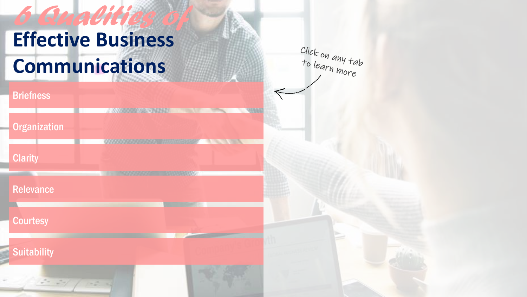Click on any tab<br>to learn more

**A STATE OF STRATE** 

## **MARKET APPROVED BEEN [Organization](#page-2-0)** *AAAAAAAAAAAAAA HHUMMAN* **[Clarity](#page-3-0)** [Relevance](#page-4-0)

**[Courtesy](#page-5-0)** 

**[Briefness](#page-1-0)** 

**[Suitability](#page-6-0)** 

 $5 - 34/$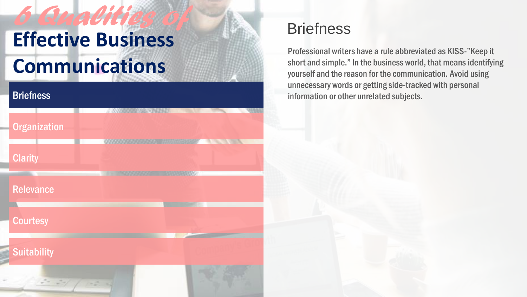#### <span id="page-1-0"></span>**[Briefness](#page-1-0)**



### **Briefness**

Professional writers have a rule abbreviated as KISS-"Keep it short and simple." In the business world, that means identifying yourself and the reason for the communication. Avoid using unnecessary words or getting side-tracked with personal information or other unrelated subjects.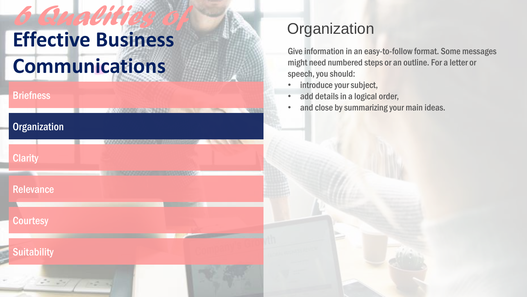**NOW THE MEMBERS** 

#### <span id="page-2-0"></span>**[Briefness](#page-1-0)**

**[Clarity](#page-3-0)** 

**[Relevance](#page-4-0)** 

**[Courtesy](#page-5-0)** 

**[Suitability](#page-6-0)** 

**[Organization](#page-2-0)** 

## **Organization**

Give information in an easy-to-follow format. Some messages might need numbered steps or an outline. For a letter or speech, you should:

- introduce your subject,
- add details in a logical order,
- and close by summarizing your main ideas.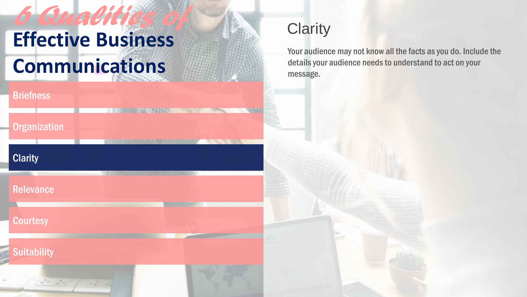## <span id="page-3-0"></span>**[Briefness](#page-1-0) MARKET APPENDING A [Organization](#page-2-0) CALL OF CALLS [Clarity](#page-3-0) A MARKA CARD AND THE CONSUMINANT [Relevance](#page-4-0) [Courtesy](#page-5-0) [Suitability](#page-6-0)**

## **Clarity**

Your audience may not know all the facts as you do. Include the details your audience needs to understand to act on your message.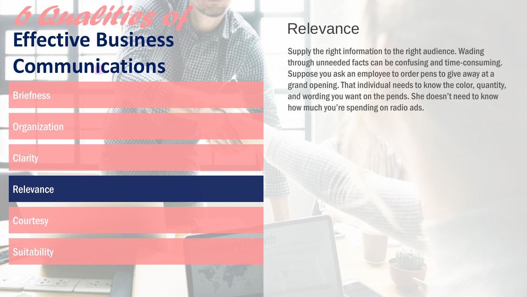<span id="page-4-0"></span>

| <b>Briefness</b>                              |                                     |  |
|-----------------------------------------------|-------------------------------------|--|
| <b>Organization</b>                           | <b>MARKARA ANG MARKATAN NA PINA</b> |  |
| <b>Clarity</b>                                | 0000                                |  |
| <b>Relevance</b>                              |                                     |  |
| <b>Courtesy</b>                               |                                     |  |
| <b>Suitability</b>                            |                                     |  |
| $\frac{1}{2}$ = $\frac{1}{2}$ + $\frac{1}{2}$ |                                     |  |

### **Relevance**

Supply the right information to the right audience. Wading through unneeded facts can be confusing and time-consuming. Suppose you ask an employee to order pens to give away at a grand opening. That individual needs to know the color, quantity, and wording you want on the pends. She doesn't need to know how much you're spending on radio ads.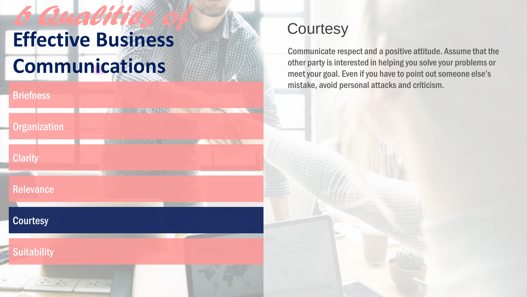## <span id="page-5-0"></span>**[Briefness](#page-1-0) NAME OF BRIDE OF STRAIN [Organization](#page-2-0) A START AND START** *OSSESSESSED HARMOND* **[Clarity](#page-3-0) [Relevance](#page-4-0) [Courtesy](#page-5-0) [Suitability](#page-6-0)**

## **Courtesy**

Communicate respect and a positive attitude. Assume that the other party is interested in helping you solve your problems or meet your goal. Even if you have to point out someone else's mistake, avoid personal attacks and criticism.